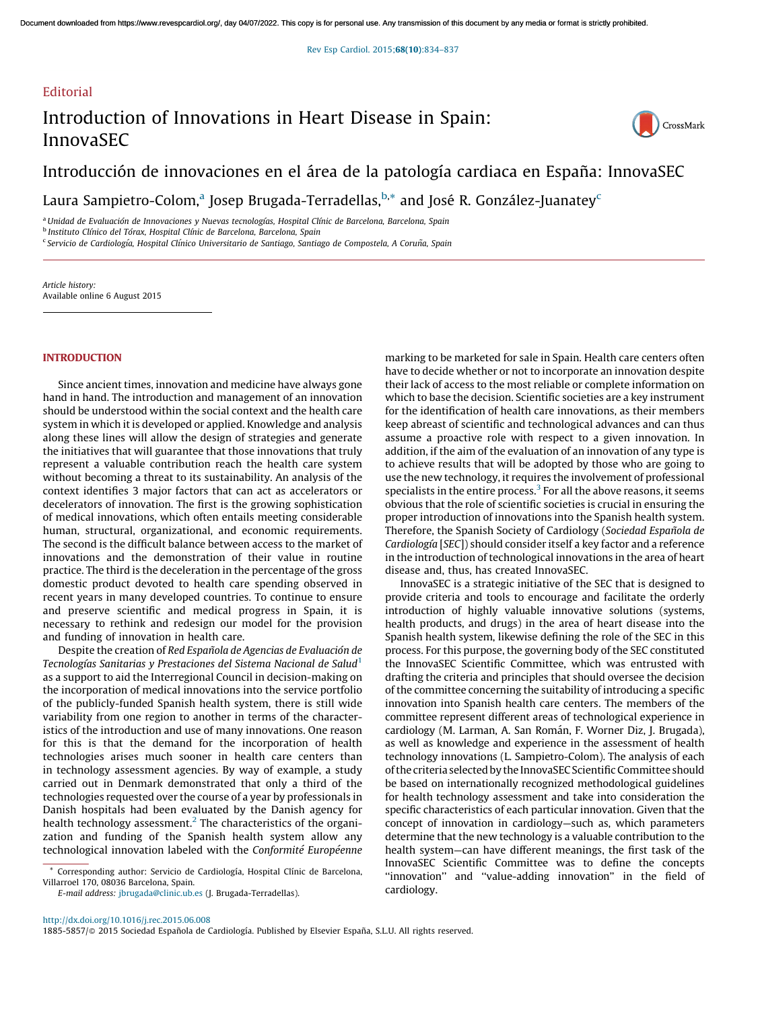## **Editorial**

# Introduction of Innovations in Heart Disease in Spain: InnovaSEC



## Introducción de innovaciones en el área de la patología cardiaca en España: InnovaSEC

Laura Sampietro-Colom,<sup>a</sup> Josep Brugada-Terradellas,<sup>b,</sup>\* and José R. González-Juanatey<sup>c</sup>

<sup>a</sup>*Unidad de Evaluacio´n de Innovaciones y Nuevas tecnologı´as, Hospital Clı´nic de Barcelona, Barcelona, Spain* b *Instituto Clı´nico del To´rax, Hospital Clı´nic de Barcelona, Barcelona, Spain* c *Servicio de Cardiologı´a, Hospital Clı´nico Universitario de Santiago, Santiago de Compostela, A Corun˜a, Spain*

*Article history:* Available online 6 August 2015

## **INTRODUCTION**

Since ancient times, innovation and medicine have always gone hand in hand. The introduction and management of an innovation should be understood within the social context and the health care system in which it is developed or applied. Knowledge and analysis along these lines will allow the design of strategies and generate the initiatives that will guarantee that those innovations that truly represent a valuable contribution reach the health care system without becoming a threat to its sustainability. An analysis of the context identifies 3 major factors that can act as accelerators or decelerators of innovation. The first is the growing sophistication of medical innovations, which often entails meeting considerable human, structural, organizational, and economic requirements. The second is the difficult balance between access to the market of innovations and the demonstration of their value in routine practice. The third is the deceleration in the percentage of the gross domestic product devoted to health care spending observed in recent years in many developed countries. To continue to ensure and preserve scientific and medical progress in Spain, it is necessary to rethink and redesign our model for the provision and funding of innovation in health care.

Despite the creation of *Red Espan˜ola de Agencias de Evaluacio´n de Tecnologı´as Sanitarias y Prestaciones del Sistema Nacional de Salud*[1](#page-3-0) as a support to aid the Interregional Council in decision-making on the incorporation of medical innovations into the service portfolio of the publicly-funded Spanish health system, there is still wide variability from one region to another in terms of the characteristics of the introduction and use of many innovations. One reason for this is that the demand for the incorporation of health technologies arises much sooner in health care centers than in technology assessment agencies. By way of example, a study carried out in Denmark demonstrated that only a third of the technologies requested over the course of a year by professionals in Danish hospitals had been evaluated by the Danish agency for health technology assessment.<sup>[2](#page-3-0)</sup> The characteristics of the organization and funding of the Spanish health system allow any technological innovation labeled with the *Conformite´ Europe´enne*

Corresponding author: Servicio de Cardiología, Hospital Clínic de Barcelona, Villarroel 170, 08036 Barcelona, Spain.

*E-mail address:* [jbrugada@clinic.ub.es](mailto:jbrugada@clinic.ub.es) (J. Brugada-Terradellas).

marking to be marketed for sale in Spain. Health care centers often have to decide whether or not to incorporate an innovation despite their lack of access to the most reliable or complete information on which to base the decision. Scientific societies are a key instrument for the identification of health care innovations, as their members keep abreast of scientific and technological advances and can thus assume a proactive role with respect to a given innovation. In addition, if the aim of the evaluation of an innovation of any type is to achieve results that will be adopted by those who are going to use the new technology, it requires the involvement of professional specialists in the entire process.<sup>[3](#page-3-0)</sup> For all the above reasons, it seems obvious that the role of scientific societies is crucial in ensuring the proper introduction of innovations into the Spanish health system. Therefore, the Spanish Society of Cardiology (*Sociedad Espan˜ola de Cardiologı´a* [*SEC*]) should consider itself a key factor and a reference in the introduction of technological innovations in the area of heart disease and, thus, has created InnovaSEC.

InnovaSEC is a strategic initiative of the SEC that is designed to provide criteria and tools to encourage and facilitate the orderly introduction of highly valuable innovative solutions (systems, health products, and drugs) in the area of heart disease into the Spanish health system, likewise defining the role of the SEC in this process. For this purpose, the governing body of the SEC constituted the InnovaSEC Scientific Committee, which was entrusted with drafting the criteria and principles that should oversee the decision of the committee concerning the suitability of introducing a specific innovation into Spanish health care centers. The members of the committee represent different areas of technological experience in cardiology (M. Larman, A. San Román, F. Worner Diz, J. Brugada), as well as knowledge and experience in the assessment of health technology innovations (L. Sampietro-Colom). The analysis of each of the criteria selected by the InnovaSEC Scientific Committee should be based on internationally recognized methodological guidelines for health technology assessment and take into consideration the specific characteristics of each particular innovation. Given that the concept of innovation in cardiology—such as, which parameters determine that the new technology is a valuable contribution to the health system—can have different meanings, the first task of the InnovaSEC Scientific Committee was to define the concepts ''innovation'' and ''value-adding innovation'' in the field of cardiology.

<http://dx.doi.org/10.1016/j.rec.2015.06.008>

1885-5857/@ 2015 Sociedad Española de Cardiología. Published by Elsevier España, S.L.U. All rights reserved.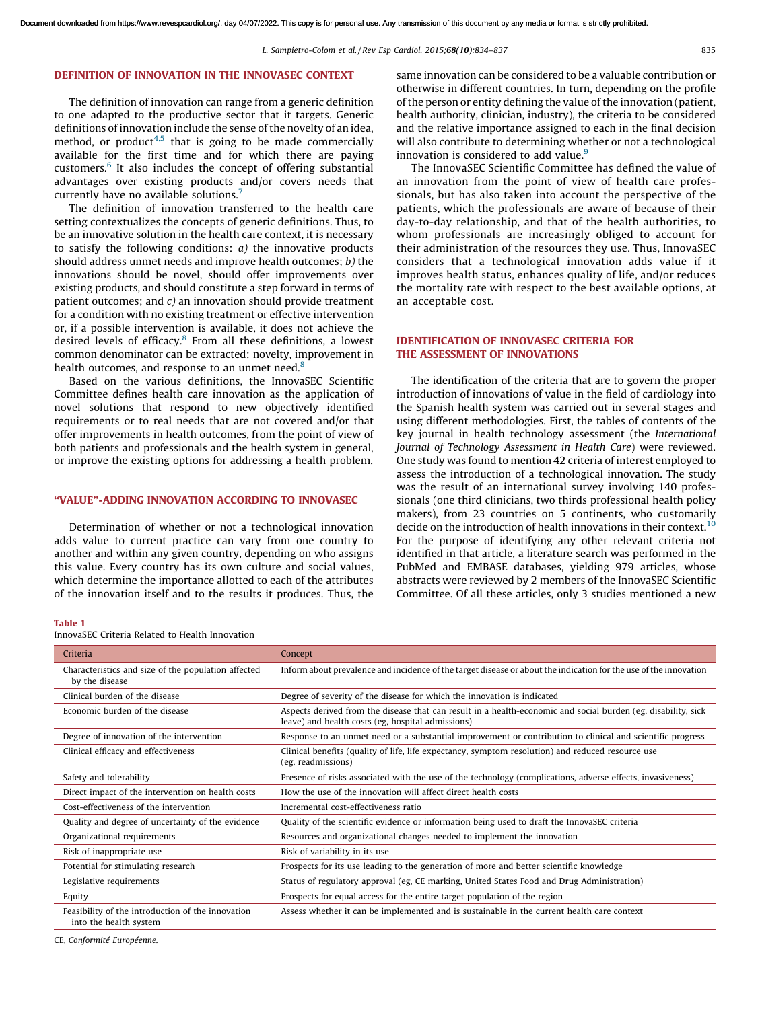## <span id="page-1-0"></span>DEFINITION OF INNOVATION IN THE INNOVASEC CONTEXT

The definition of innovation can range from a generic definition to one adapted to the productive sector that it targets. Generic definitions of innovation include the sense of the novelty of an idea, method, or product $4,5$  that is going to be made commercially available for the first time and for which there are paying customers.<sup>[6](#page-3-0)</sup> It also includes the concept of offering substantial advantages over existing products and/or covers needs that currently have no available solutions.<sup>[7](#page-3-0)</sup>

The definition of innovation transferred to the health care setting contextualizes the concepts of generic definitions. Thus, to be an innovative solution in the health care context, it is necessary to satisfy the following conditions: *a)* the innovative products should address unmet needs and improve health outcomes; *b)* the innovations should be novel, should offer improvements over existing products, and should constitute a step forward in terms of patient outcomes; and *c)* an innovation should provide treatment for a condition with no existing treatment or effective intervention or, if a possible intervention is available, it does not achieve the desired levels of efficacy.<sup>[8](#page-3-0)</sup> From all these definitions, a lowest common denominator can be extracted: novelty, improvement in health outcomes, and response to an unmet need. $8$ 

Based on the various definitions, the InnovaSEC Scientific Committee defines health care innovation as the application of novel solutions that respond to new objectively identified requirements or to real needs that are not covered and/or that offer improvements in health outcomes, from the point of view of both patients and professionals and the health system in general, or improve the existing options for addressing a health problem.

### ''VALUE''-ADDING INNOVATION ACCORDING TO INNOVASEC

Determination of whether or not a technological innovation adds value to current practice can vary from one country to another and within any given country, depending on who assigns this value. Every country has its own culture and social values, which determine the importance allotted to each of the attributes of the innovation itself and to the results it produces. Thus, the same innovation can be considered to be a valuable contribution or otherwise in different countries. In turn, depending on the profile of the person or entity defining the value of the innovation (patient, health authority, clinician, industry), the criteria to be considered and the relative importance assigned to each in the final decision will also contribute to determining whether or not a technological innovation is considered to add value. $\frac{9}{2}$  $\frac{9}{2}$  $\frac{9}{2}$ 

The InnovaSEC Scientific Committee has defined the value of an innovation from the point of view of health care professionals, but has also taken into account the perspective of the patients, which the professionals are aware of because of their day-to-day relationship, and that of the health authorities, to whom professionals are increasingly obliged to account for their administration of the resources they use. Thus, InnovaSEC considers that a technological innovation adds value if it improves health status, enhances quality of life, and/or reduces the mortality rate with respect to the best available options, at an acceptable cost.

## IDENTIFICATION OF INNOVASEC CRITERIA FOR THE ASSESSMENT OF INNOVATIONS

The identification of the criteria that are to govern the proper introduction of innovations of value in the field of cardiology into the Spanish health system was carried out in several stages and using different methodologies. First, the tables of contents of the key journal in health technology assessment (the *International Journal of Technology Assessment in Health Care*) were reviewed. One study was found to mention 42 criteria of interest employed to assess the introduction of a technological innovation. The study was the result of an international survey involving 140 professionals (one third clinicians, two thirds professional health policy makers), from 23 countries on 5 continents, who customarily decide on the introduction of health innovations in their context.<sup>[10](#page-3-0)</sup> For the purpose of identifying any other relevant criteria not identified in that article, a literature search was performed in the PubMed and EMBASE databases, yielding 979 articles, whose abstracts were reviewed by 2 members of the InnovaSEC Scientific Committee. Of all these articles, only 3 studies mentioned a new

#### Table 1

InnovaSEC Criteria Related to Health Innovation

| Concept                                                                                                                                                            |
|--------------------------------------------------------------------------------------------------------------------------------------------------------------------|
| Inform about prevalence and incidence of the target disease or about the indication for the use of the innovation                                                  |
| Degree of severity of the disease for which the innovation is indicated                                                                                            |
| Aspects derived from the disease that can result in a health-economic and social burden (eg, disability, sick<br>leave) and health costs (eg, hospital admissions) |
| Response to an unmet need or a substantial improvement or contribution to clinical and scientific progress                                                         |
| Clinical benefits (quality of life, life expectancy, symptom resolution) and reduced resource use<br>(eg. readmissions)                                            |
| Presence of risks associated with the use of the technology (complications, adverse effects, invasiveness)                                                         |
| How the use of the innovation will affect direct health costs                                                                                                      |
| Incremental cost-effectiveness ratio                                                                                                                               |
| Quality of the scientific evidence or information being used to draft the InnovaSEC criteria                                                                       |
| Resources and organizational changes needed to implement the innovation                                                                                            |
| Risk of variability in its use                                                                                                                                     |
| Prospects for its use leading to the generation of more and better scientific knowledge                                                                            |
| Status of regulatory approval (eg, CE marking, United States Food and Drug Administration)                                                                         |
| Prospects for equal access for the entire target population of the region                                                                                          |
| Assess whether it can be implemented and is sustainable in the current health care context                                                                         |
|                                                                                                                                                                    |

CE, *Conformite´ Europe´enne.*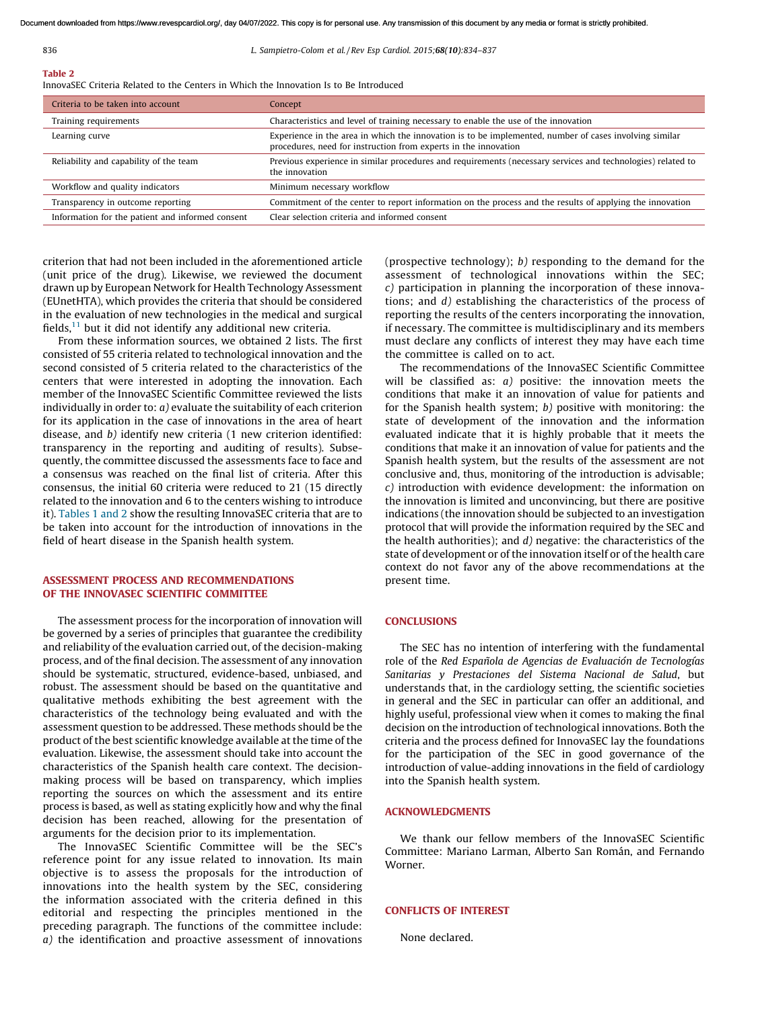#### 836 *L. Sampietro-Colom et al. / Rev Esp Cardiol. 2015;*68(10)*:834–837*

## Table 2

InnovaSEC Criteria Related to the Centers in Which the Innovation Is to Be Introduced

| Criteria to be taken into account                | Concept                                                                                                                                                                   |
|--------------------------------------------------|---------------------------------------------------------------------------------------------------------------------------------------------------------------------------|
| Training requirements                            | Characteristics and level of training necessary to enable the use of the innovation                                                                                       |
| Learning curve                                   | Experience in the area in which the innovation is to be implemented, number of cases involving similar<br>procedures, need for instruction from experts in the innovation |
| Reliability and capability of the team           | Previous experience in similar procedures and requirements (necessary services and technologies) related to<br>the innovation                                             |
| Workflow and quality indicators                  | Minimum necessary workflow                                                                                                                                                |
| Transparency in outcome reporting                | Commitment of the center to report information on the process and the results of applying the innovation                                                                  |
| Information for the patient and informed consent | Clear selection criteria and informed consent                                                                                                                             |

criterion that had not been included in the aforementioned article (unit price of the drug). Likewise, we reviewed the document drawn up by European Network for Health Technology Assessment (EUnetHTA), which provides the criteria that should be considered in the evaluation of new technologies in the medical and surgical fields, $11$  but it did not identify any additional new criteria.

From these information sources, we obtained 2 lists. The first consisted of 55 criteria related to technological innovation and the second consisted of 5 criteria related to the characteristics of the centers that were interested in adopting the innovation. Each member of the InnovaSEC Scientific Committee reviewed the lists individually in order to: *a)* evaluate the suitability of each criterion for its application in the case of innovations in the area of heart disease, and *b)* identify new criteria (1 new criterion identified: transparency in the reporting and auditing of results). Subsequently, the committee discussed the assessments face to face and a consensus was reached on the final list of criteria. After this consensus, the initial 60 criteria were reduced to 21 (15 directly related to the innovation and 6 to the centers wishing to introduce it). [Tables](#page-1-0) 1 and 2 show the resulting InnovaSEC criteria that are to be taken into account for the introduction of innovations in the field of heart disease in the Spanish health system.

## ASSESSMENT PROCESS AND RECOMMENDATIONS OF THE INNOVASEC SCIENTIFIC COMMITTEE

The assessment process for the incorporation of innovation will be governed by a series of principles that guarantee the credibility and reliability of the evaluation carried out, of the decision-making process, and of the final decision. The assessment of any innovation should be systematic, structured, evidence-based, unbiased, and robust. The assessment should be based on the quantitative and qualitative methods exhibiting the best agreement with the characteristics of the technology being evaluated and with the assessment question to be addressed. These methods should be the product of the best scientific knowledge available at the time of the evaluation. Likewise, the assessment should take into account the characteristics of the Spanish health care context. The decisionmaking process will be based on transparency, which implies reporting the sources on which the assessment and its entire process is based, as well as stating explicitly how and why the final decision has been reached, allowing for the presentation of arguments for the decision prior to its implementation.

The InnovaSEC Scientific Committee will be the SEC's reference point for any issue related to innovation. Its main objective is to assess the proposals for the introduction of innovations into the health system by the SEC, considering the information associated with the criteria defined in this editorial and respecting the principles mentioned in the preceding paragraph. The functions of the committee include: *a)* the identification and proactive assessment of innovations

(prospective technology); *b)* responding to the demand for the assessment of technological innovations within the SEC; *c)* participation in planning the incorporation of these innovations; and *d)* establishing the characteristics of the process of reporting the results of the centers incorporating the innovation, if necessary. The committee is multidisciplinary and its members must declare any conflicts of interest they may have each time the committee is called on to act.

The recommendations of the InnovaSEC Scientific Committee will be classified as: *a)* positive: the innovation meets the conditions that make it an innovation of value for patients and for the Spanish health system; *b)* positive with monitoring: the state of development of the innovation and the information evaluated indicate that it is highly probable that it meets the conditions that make it an innovation of value for patients and the Spanish health system, but the results of the assessment are not conclusive and, thus, monitoring of the introduction is advisable; *c)* introduction with evidence development: the information on the innovation is limited and unconvincing, but there are positive indications (the innovation should be subjected to an investigation protocol that will provide the information required by the SEC and the health authorities); and *d)* negative: the characteristics of the state of development or of the innovation itself or of the health care context do not favor any of the above recommendations at the present time.

#### **CONCLUSIONS**

The SEC has no intention of interfering with the fundamental role of the *Red Espan˜ola de Agencias de Evaluacio´n de Tecnologı´as Sanitarias y Prestaciones del Sistema Nacional de Salud*, but understands that, in the cardiology setting, the scientific societies in general and the SEC in particular can offer an additional, and highly useful, professional view when it comes to making the final decision on the introduction of technological innovations. Both the criteria and the process defined for InnovaSEC lay the foundations for the participation of the SEC in good governance of the introduction of value-adding innovations in the field of cardiology into the Spanish health system.

## ACKNOWLEDGMENTS

We thank our fellow members of the InnovaSEC Scientific Committee: Mariano Larman, Alberto San Román, and Fernando Worner.

#### CONFLICTS OF INTEREST

None declared.